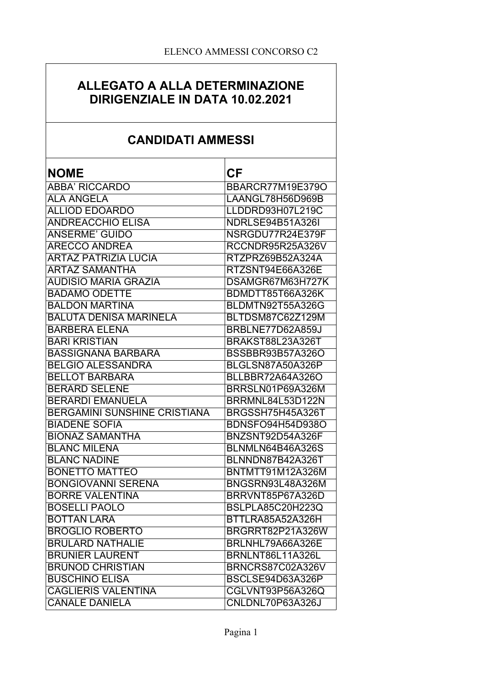## ALLEGATO A ALLA DETERMINAZIONE DIRIGENZIALE IN DATA 10.02.2021

# **CANDIDATI AMMESSI**

| <b>NOME</b>                         | <b>CF</b>               |
|-------------------------------------|-------------------------|
| <b>ABBA' RICCARDO</b>               | <b>BBARCR77M19E379O</b> |
| <b>ALA ANGELA</b>                   | LAANGL78H56D969B        |
| <b>ALLIOD EDOARDO</b>               | LLDDRD93H07L219C        |
| <b>ANDREACCHIO ELISA</b>            | <b>NDRLSE94B51A326I</b> |
| <b>ANSERME' GUIDO</b>               | NSRGDU77R24E379F        |
| <b>ARECCO ANDREA</b>                | RCCNDR95R25A326V        |
| <b>ARTAZ PATRIZIA LUCIA</b>         | RTZPRZ69B52A324A        |
| <b>ARTAZ SAMANTHA</b>               | RTZSNT94E66A326E        |
| <b>AUDISIO MARIA GRAZIA</b>         | DSAMGR67M63H727K        |
| <b>BADAMO ODETTE</b>                | BDMDTT85T66A326K        |
| <b>BALDON MARTINA</b>               | BLDMTN92T55A326G        |
| <b>BALUTA DENISA MARINELA</b>       | BLTDSM87C62Z129M        |
| <b>BARBERA ELENA</b>                | BRBLNE77D62A859J        |
| <b>BARI KRISTIAN</b>                | BRAKST88L23A326T        |
| <b>BASSIGNANA BARBARA</b>           | BSSBBR93B57A326O        |
| <b>BELGIO ALESSANDRA</b>            | BLGLSN87A50A326P        |
| <b>BELLOT BARBARA</b>               | BLLBBR72A64A326O        |
| <b>BERARD SELENE</b>                | BRRSLN01P69A326M        |
| <b>BERARDI EMANUELA</b>             | BRRMNL84L53D122N        |
| <b>BERGAMINI SUNSHINE CRISTIANA</b> | BRGSSH75H45A326T        |
| <b>BIADENE SOFIA</b>                | <b>BDNSFO94H54D938O</b> |
| <b>BIONAZ SAMANTHA</b>              | BNZSNT92D54A326F        |
| <b>BLANC MILENA</b>                 | BLNMLN64B46A326S        |
| <b>BLANC NADINE</b>                 | BLNNDN87B42A326T        |
| <b>BONETTO MATTEO</b>               | BNTMTT91M12A326M        |
| <b>BONGIOVANNI SERENA</b>           | BNGSRN93L48A326M        |
| <b>BORRE VALENTINA</b>              | BRRVNT85P67A326D        |
| <b>BOSELLI PAOLO</b>                | <b>BSLPLA85C20H223Q</b> |
| <b>BOTTAN LARA</b>                  | BTTLRA85A52A326H        |
| <b>BROGLIO ROBERTO</b>              | BRGRRT82P21A326W        |
| <b>BRULARD NATHALIE</b>             | BRLNHL79A66A326E        |
| <b>BRUNIER LAURENT</b>              | BRNLNT86L11A326L        |
| <b>BRUNOD CHRISTIAN</b>             | BRNCRS87C02A326V        |
| <b>BUSCHINO ELISA</b>               | BSCLSE94D63A326P        |
| <b>CAGLIERIS VALENTINA</b>          | CGLVNT93P56A326Q        |
| <b>CANALE DANIELA</b>               | CNLDNL70P63A326J        |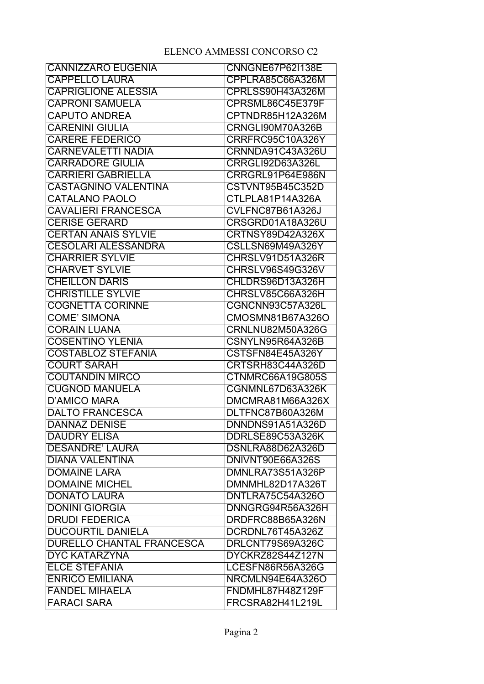| <b>CANNIZZARO EUGENIA</b>        | <b>CNNGNE67P62I138E</b> |
|----------------------------------|-------------------------|
| <b>CAPPELLO LAURA</b>            | CPPLRA85C66A326M        |
| <b>CAPRIGLIONE ALESSIA</b>       | CPRLSS90H43A326M        |
| <b>CAPRONI SAMUELA</b>           | CPRSML86C45E379F        |
| <b>CAPUTO ANDREA</b>             | CPTNDR85H12A326M        |
| <b>CARENINI GIULIA</b>           | CRNGLI90M70A326B        |
| <b>CARERE FEDERICO</b>           | CRRFRC95C10A326Y        |
| <b>CARNEVALETTI NADIA</b>        | CRNNDA91C43A326U        |
| <b>CARRADORE GIULIA</b>          | <b>CRRGLI92D63A326L</b> |
| <b>CARRIERI GABRIELLA</b>        | CRRGRL91P64E986N        |
| <b>CASTAGNINO VALENTINA</b>      | CSTVNT95B45C352D        |
| <b>CATALANO PAOLO</b>            | CTLPLA81P14A326A        |
| <b>CAVALIERI FRANCESCA</b>       | CVLFNC87B61A326J        |
| <b>CERISE GERARD</b>             | CRSGRD01A18A326U        |
| <b>CERTAN ANAIS SYLVIE</b>       | CRTNSY89D42A326X        |
| <b>CESOLARI ALESSANDRA</b>       | CSLLSN69M49A326Y        |
| <b>CHARRIER SYLVIE</b>           | CHRSLV91D51A326R        |
| <b>CHARVET SYLVIE</b>            | CHRSLV96S49G326V        |
| <b>CHEILLON DARIS</b>            | CHLDRS96D13A326H        |
| <b>CHRISTILLE SYLVIE</b>         | CHRSLV85C66A326H        |
| <b>COGNETTA CORINNE</b>          | CGNCNN93C57A326L        |
| <b>COME' SIMONA</b>              | CMOSMN81B67A326O        |
| <b>CORAIN LUANA</b>              | CRNLNU82M50A326G        |
| <b>COSENTINO YLENIA</b>          | CSNYLN95R64A326B        |
| <b>COSTABLOZ STEFANIA</b>        | CSTSFN84E45A326Y        |
| <b>COURT SARAH</b>               | CRTSRH83C44A326D        |
| <b>COUTANDIN MIRCO</b>           | CTNMRC66A19G805S        |
| <b>CUGNOD MANUELA</b>            | CGNMNL67D63A326K        |
| <b>D'AMICO MARA</b>              | DMCMRA81M66A326X        |
| <b>DALTO FRANCESCA</b>           | DLTFNC87B60A326M        |
| <b>DANNAZ DENISE</b>             | DNNDNS91A51A326D        |
| <b>DAUDRY ELISA</b>              | DDRLSE89C53A326K        |
| <b>DESANDRE' LAURA</b>           | DSNLRA88D62A326D        |
| <b>DIANA VALENTINA</b>           | DNIVNT90E66A326S        |
| <b>DOMAINE LARA</b>              | DMNLRA73S51A326P        |
| <b>DOMAINE MICHEL</b>            | DMNMHL82D17A326T        |
| <b>DONATO LAURA</b>              | DNTLRA75C54A326O        |
| <b>DONINI GIORGIA</b>            | DNNGRG94R56A326H        |
| <b>DRUDI FEDERICA</b>            | DRDFRC88B65A326N        |
| <b>DUCOURTIL DANIELA</b>         | DCRDNL76T45A326Z        |
| <b>DURELLO CHANTAL FRANCESCA</b> | DRLCNT79S69A326C        |
| <b>DYC KATARZYNA</b>             | DYCKRZ82S44Z127N        |
| <b>ELCE STEFANIA</b>             | LCESFN86R56A326G        |
| <b>ENRICO EMILIANA</b>           | NRCMLN94E64A326O        |
| <b>FANDEL MIHAELA</b>            | FNDMHL87H48Z129F        |
| <b>FARACI SARA</b>               | FRCSRA82H41L219L        |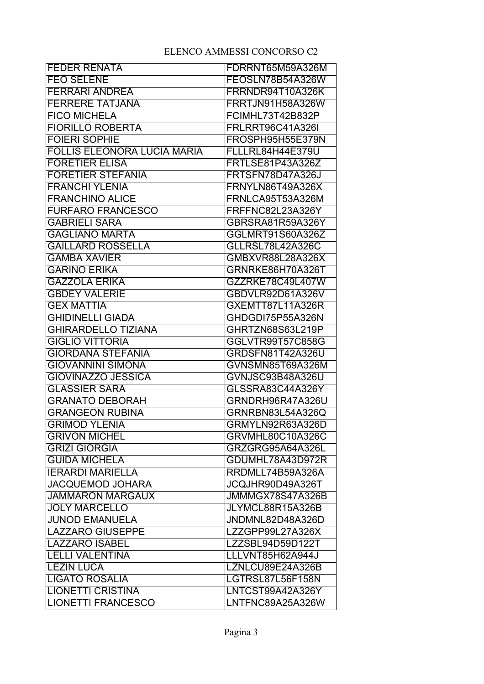| <b>FEDER RENATA</b>                | FDRRNT65M59A326M        |
|------------------------------------|-------------------------|
| <b>FEO SELENE</b>                  | FEOSLN78B54A326W        |
| <b>FERRARI ANDREA</b>              | FRRNDR94T10A326K        |
| <b>FERRERE TATJANA</b>             | <b>FRRTJN91H58A326W</b> |
| <b>FICO MICHELA</b>                | <b>FCIMHL73T42B832P</b> |
| <b>FIORILLO ROBERTA</b>            | <b>FRLRRT96C41A326I</b> |
| <b>FOIERI SOPHIE</b>               | FROSPH95H55E379N        |
| <b>FOLLIS ELEONORA LUCIA MARIA</b> | <b>FLLLRL84H44E379U</b> |
| <b>FORETIER ELISA</b>              | <b>FRTLSE81P43A326Z</b> |
| <b>FORETIER STEFANIA</b>           | FRTSFN78D47A326J        |
| <b>FRANCHI YLENIA</b>              | FRNYLN86T49A326X        |
| <b>FRANCHINO ALICE</b>             | FRNLCA95T53A326M        |
| <b>FURFARO FRANCESCO</b>           | FRFFNC82L23A326Y        |
| <b>GABRIELI SARA</b>               | GBRSRA81R59A326Y        |
| <b>GAGLIANO MARTA</b>              | GGLMRT91S60A326Z        |
| <b>GAILLARD ROSSELLA</b>           | <b>GLLRSL78L42A326C</b> |
| <b>GAMBA XAVIER</b>                | GMBXVR88L28A326X        |
| <b>GARINO ERIKA</b>                | GRNRKE86H70A326T        |
| <b>GAZZOLA ERIKA</b>               | GZZRKE78C49L407W        |
| <b>GBDEY VALERIE</b>               | GBDVLR92D61A326V        |
| <b>GEX MATTIA</b>                  | <b>GXEMTT87L11A326R</b> |
| <b>GHIDINELLI GIADA</b>            | GHDGDI75P55A326N        |
| <b>GHIRARDELLO TIZIANA</b>         | GHRTZN68S63L219P        |
| <b>GIGLIO VITTORIA</b>             | GGLVTR99T57C858G        |
| <b>GIORDANA STEFANIA</b>           | GRDSFN81T42A326U        |
| <b>GIOVANNINI SIMONA</b>           | GVNSMN85T69A326M        |
| <b>GIOVINAZZO JESSICA</b>          | GVNJSC93B48A326U        |
| <b>GLASSIER SARA</b>               | GLSSRA83C44A326Y        |
| <b>GRANATO DEBORAH</b>             | GRNDRH96R47A326U        |
| <b>GRANGEON RUBINA</b>             | GRNRBN83L54A326Q        |
| <b>GRIMOD YLENIA</b>               | GRMYLN92R63A326D        |
| <b>GRIVON MICHEL</b>               | GRVMHL80C10A326C        |
| <b>GRIZI GIORGIA</b>               | GRZGRG95A64A326L        |
| <b>GUIDA MICHELA</b>               | GDUMHL78A43D972R        |
| <b>IERARDI MARIELLA</b>            | RRDMLL74B59A326A        |
| <b>JACQUEMOD JOHARA</b>            | JCQJHR90D49A326T        |
| <b>JAMMARON MARGAUX</b>            | JMMMGX78S47A326B        |
| <b>JOLY MARCELLO</b>               | JLYMCL88R15A326B        |
| <b>JUNOD EMANUELA</b>              | JNDMNL82D48A326D        |
| <b>LAZZARO GIUSEPPE</b>            | LZZGPP99L27A326X        |
| <b>LAZZARO ISABEL</b>              | LZZSBL94D59D122T        |
| <b>LELLI VALENTINA</b>             | LLLVNT85H62A944J        |
| <b>LEZIN LUCA</b>                  | LZNLCU89E24A326B        |
| <b>LIGATO ROSALIA</b>              | LGTRSL87L56F158N        |
| <b>LIONETTI CRISTINA</b>           | LNTCST99A42A326Y        |
| <b>LIONETTI FRANCESCO</b>          | LNTFNC89A25A326W        |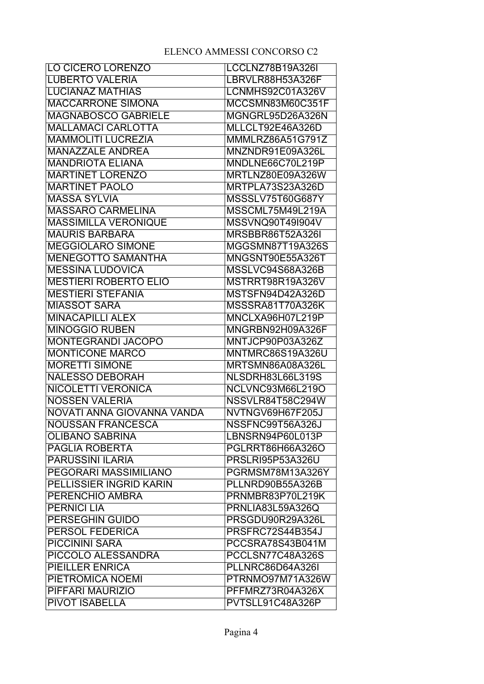| <b>LO CICERO LORENZO</b>     | LCCLNZ78B19A326I        |
|------------------------------|-------------------------|
| <b>LUBERTO VALERIA</b>       | LBRVLR88H53A326F        |
| <b>LUCIANAZ MATHIAS</b>      | LCNMHS92C01A326V        |
| <b>MACCARRONE SIMONA</b>     | MCCSMN83M60C351F        |
| <b>MAGNABOSCO GABRIELE</b>   | MGNGRL95D26A326N        |
| <b>MALLAMACI CARLOTTA</b>    | MLLCLT92E46A326D        |
| <b>MAMMOLITI LUCREZIA</b>    | <b>MMMLRZ86A51G791Z</b> |
| <b>MANAZZALE ANDREA</b>      | MNZNDR91E09A326L        |
| <b>MANDRIOTA ELIANA</b>      | MNDLNE66C70L219P        |
| <b>MARTINET LORENZO</b>      | MRTLNZ80E09A326W        |
| <b>MARTINET PAOLO</b>        | MRTPLA73S23A326D        |
| <b>MASSA SYLVIA</b>          | MSSSLV75T60G687Y        |
| <b>MASSARO CARMELINA</b>     | MSSCML75M49L219A        |
| <b>MASSIMILLA VERONIQUE</b>  | MSSVNQ90T49I904V        |
| <b>MAURIS BARBARA</b>        | <b>MRSBBR86T52A326I</b> |
| <b>MEGGIOLARO SIMONE</b>     | MGGSMN87T19A326S        |
| <b>MENEGOTTO SAMANTHA</b>    | MNGSNT90E55A326T        |
| <b>MESSINA LUDOVICA</b>      | MSSLVC94S68A326B        |
| <b>MESTIERI ROBERTO ELIO</b> | MSTRRT98R19A326V        |
| <b>MESTIERI STEFANIA</b>     | MSTSFN94D42A326D        |
| <b>MIASSOT SARA</b>          | MSSSRA81T70A326K        |
| <b>MINACAPILLI ALEX</b>      | MNCLXA96H07L219P        |
| <b>MINOGGIO RUBEN</b>        | MNGRBN92H09A326F        |
| <b>MONTEGRANDI JACOPO</b>    | MNTJCP90P03A326Z        |
| <b>MONTICONE MARCO</b>       | <b>MNTMRC86S19A326U</b> |
| <b>MORETTI SIMONE</b>        | MRTSMN86A08A326L        |
| <b>NALESSO DEBORAH</b>       | <b>NLSDRH83L66L319S</b> |
| <b>NICOLETTI VERONICA</b>    | NCLVNC93M66L219O        |
| <b>NOSSEN VALERIA</b>        | NSSVLR84T58C294W        |
| NOVATI ANNA GIOVANNA VANDA   | NVTNGV69H67F205J        |
| <b>NOUSSAN FRANCESCA</b>     | NSSFNC99T56A326J        |
| <b>OLIBANO SABRINA</b>       | LBNSRN94P60L013P        |
| <b>PAGLIA ROBERTA</b>        | PGLRRT86H66A326O        |
| <b>PARUSSINI ILARIA</b>      | <b>PRSLRI95P53A326U</b> |
| PEGORARI MASSIMILIANO        | PGRMSM78M13A326Y        |
| PELLISSIER INGRID KARIN      | PLLNRD90B55A326B        |
| PERENCHIO AMBRA              | PRNMBR83P70L219K        |
| <b>PERNICI LIA</b>           | <b>PRNLIA83L59A326Q</b> |
| <b>PERSEGHIN GUIDO</b>       | PRSGDU90R29A326L        |
| PERSOL FEDERICA              | PRSFRC72S44B354J        |
| <b>PICCININI SARA</b>        | PCCSRA78S43B041M        |
| PICCOLO ALESSANDRA           | PCCLSN77C48A326S        |
| <b>PIEILLER ENRICA</b>       | PLLNRC86D64A326I        |
| PIETROMICA NOEMI             | PTRNMO97M71A326W        |
| PIFFARI MAURIZIO             | PFFMRZ73R04A326X        |
| <b>PIVOT ISABELLA</b>        | PVTSLL91C48A326P        |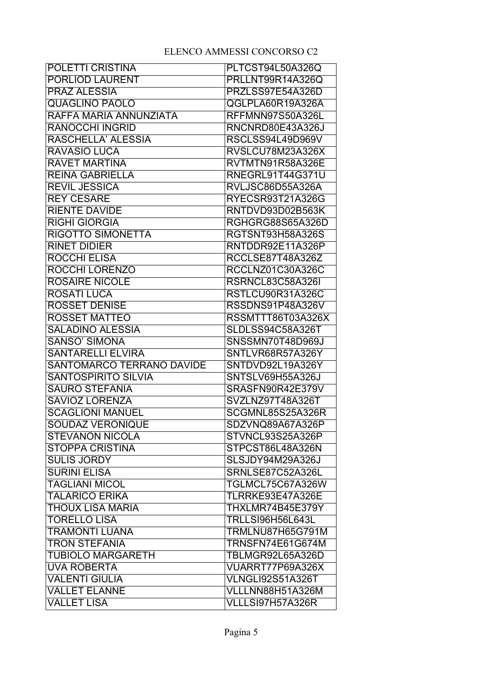| POLETTI CRISTINA                 | PLTCST94L50A326Q         |
|----------------------------------|--------------------------|
| <b>PORLIOD LAURENT</b>           | PRLLNT99R14A326Q         |
| <b>PRAZ ALESSIA</b>              | PRZLSS97E54A326D         |
| <b>QUAGLINO PAOLO</b>            | QGLPLA60R19A326A         |
| RAFFA MARIA ANNUNZIATA           | <b>RFFMNN97S50A326L</b>  |
| <b>RANOCCHI INGRID</b>           | RNCNRD80E43A326J         |
| RASCHELLA' ALESSIA               | RSCLSS94L49D969V         |
| <b>RAVASIO LUCA</b>              | RVSLCU78M23A326X         |
| <b>RAVET MARTINA</b>             | RVTMTN91R58A326E         |
| <b>REINA GABRIELLA</b>           | <b>RNEGRL91T44G371U</b>  |
| <b>REVIL JESSICA</b>             | RVLJSC86D55A326A         |
| <b>REY CESARE</b>                | <b>RYECSR93T21A326G</b>  |
| <b>RIENTE DAVIDE</b>             | RNTDVD93D02B563K         |
| <b>RIGHI GIORGIA</b>             | RGHGRG88S65A326D         |
| <b>RIGOTTO SIMONETTA</b>         | <b>RGTSNT93H58A326S</b>  |
| <b>RINET DIDIER</b>              | RNTDDR92E11A326P         |
| <b>ROCCHI ELISA</b>              | <b>RCCLSE87T48A326Z</b>  |
| <b>ROCCHI LORENZO</b>            | <b>RCCLNZ01C30A326C</b>  |
| <b>ROSAIRE NICOLE</b>            | <b>RSRNCL83C58A326I</b>  |
| <b>ROSATI LUCA</b>               | RSTLCU90R31A326C         |
| <b>ROSSET DENISE</b>             | RSSDNS91P48A326V         |
| <b>ROSSET MATTEO</b>             | <b>RSSMTTT86T03A326X</b> |
| <b>SALADINO ALESSIA</b>          | SLDLSS94C58A326T         |
| <b>SANSO' SIMONA</b>             | SNSSMN70T48D969J         |
| <b>SANTARELLI ELVIRA</b>         | SNTLVR68R57A326Y         |
| <b>SANTOMARCO TERRANO DAVIDE</b> | SNTDVD92L19A326Y         |
| <b>SANTOSPIRITO SILVIA</b>       | SNTSLV69H55A326J         |
| <b>SAURO STEFANIA</b>            | SRASFN90R42E379V         |
| <b>SAVIOZ LORENZA</b>            | SVZLNZ97T48A326T         |
| <b>SCAGLIONI MANUEL</b>          | SCGMNL85S25A326R         |
| <b>SOUDAZ VERONIQUE</b>          | SDZVNQ89A67A326P         |
| <b>STEVANON NICOLA</b>           | STVNCL93S25A326P         |
| <b>STOPPA CRISTINA</b>           | STPCST86L48A326N         |
| <b>SULIS JORDY</b>               | <b>SLSJDY94M29A326J</b>  |
| <b>SURINI ELISA</b>              | SRNLSE87C52A326L         |
| <b>TAGLIANI MICOL</b>            | TGLMCL75C67A326W         |
| <b>TALARICO ERIKA</b>            | TLRRKE93E47A326E         |
| THOUX LISA MARIA                 | THXLMR74B45E379Y         |
| <b>TORELLO LISA</b>              | <b>TRLLSI96H56L643L</b>  |
| <b>TRAMONTI LUANA</b>            | <b>TRMLNU87H65G791M</b>  |
| <b>TRON STEFANIA</b>             | TRNSFN74E61G674M         |
| <b>TUBIOLO MARGARETH</b>         | TBLMGR92L65A326D         |
| <b>UVA ROBERTA</b>               | VUARRT77P69A326X         |
| <b>VALENTI GIULIA</b>            | VLNGLI92S51A326T         |
| <b>VALLET ELANNE</b>             | VLLLNN88H51A326M         |
| <b>VALLET LISA</b>               | VLLLSI97H57A326R         |